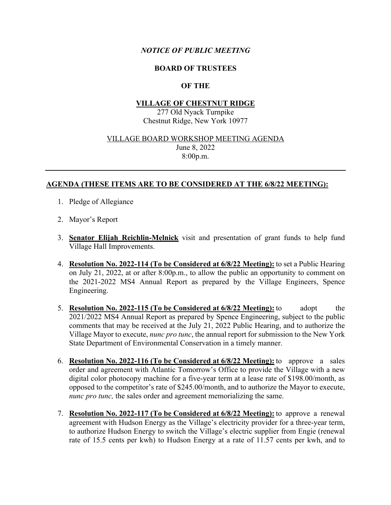## *NOTICE OF PUBLIC MEETING*

### **BOARD OF TRUSTEES**

# **OF THE**

### **VILLAGE OF CHESTNUT RIDGE**

277 Old Nyack Turnpike Chestnut Ridge, New York 10977

#### VILLAGE BOARD WORKSHOP MEETING AGENDA June 8, 2022

8:00p.m.

## **AGENDA (THESE ITEMS ARE TO BE CONSIDERED AT THE 6/8/22 MEETING):**

- 1. Pledge of Allegiance
- 2. Mayor's Report
- 3. **Senator Elijah Reichlin-Melnick** visit and presentation of grant funds to help fund Village Hall Improvements.
- 4. **Resolution No. 2022-114 (To be Considered at 6/8/22 Meeting):** to set a Public Hearing on July 21, 2022, at or after 8:00p.m., to allow the public an opportunity to comment on the 2021-2022 MS4 Annual Report as prepared by the Village Engineers, Spence Engineering.
- 5. **Resolution No. 2022-115 (To be Considered at 6/8/22 Meeting):** to adopt the 2021/2022 MS4 Annual Report as prepared by Spence Engineering, subject to the public comments that may be received at the July 21, 2022 Public Hearing, and to authorize the Village Mayor to execute, *nunc pro tunc*, the annual report for submission to the New York State Department of Environmental Conservation in a timely manner.
- 6. **Resolution No. 2022-116 (To be Considered at 6/8/22 Meeting):** to approve a sales order and agreement with Atlantic Tomorrow's Office to provide the Village with a new digital color photocopy machine for a five-year term at a lease rate of \$198.00/month, as opposed to the competitor's rate of \$245.00/month, and to authorize the Mayor to execute, *nunc pro tunc,* the sales order and agreement memorializing the same.
- 7. **Resolution No. 2022-117 (To be Considered at 6/8/22 Meeting):** to approve a renewal agreement with Hudson Energy as the Village's electricity provider for a three-year term, to authorize Hudson Energy to switch the Village's electric supplier from Engie (renewal rate of 15.5 cents per kwh) to Hudson Energy at a rate of 11.57 cents per kwh, and to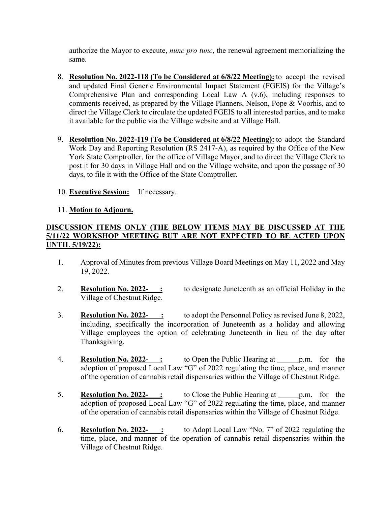authorize the Mayor to execute, *nunc pro tunc*, the renewal agreement memorializing the same.

- 8. **Resolution No. 2022-118 (To be Considered at 6/8/22 Meeting):** to accept the revised and updated Final Generic Environmental Impact Statement (FGEIS) for the Village's Comprehensive Plan and corresponding Local Law A (v.6), including responses to comments received, as prepared by the Village Planners, Nelson, Pope & Voorhis, and to direct the Village Clerk to circulate the updated FGEIS to all interested parties, and to make it available for the public via the Village website and at Village Hall.
- 9. **Resolution No. 2022-119 (To be Considered at 6/8/22 Meeting):** to adopt the Standard Work Day and Reporting Resolution (RS 2417-A), as required by the Office of the New York State Comptroller, for the office of Village Mayor, and to direct the Village Clerk to post it for 30 days in Village Hall and on the Village website, and upon the passage of 30 days, to file it with the Office of the State Comptroller.
- 10. **Executive Session:** If necessary.

### 11. **Motion to Adjourn.**

# **DISCUSSION ITEMS ONLY (THE BELOW ITEMS MAY BE DISCUSSED AT THE 5/11/22 WORKSHOP MEETING BUT ARE NOT EXPECTED TO BE ACTED UPON UNTIL 5/19/22):**

- 1. Approval of Minutes from previous Village Board Meetings on May 11, 2022 and May 19, 2022.
- 2. **Resolution No. 2022-**: to designate Juneteenth as an official Holiday in the Village of Chestnut Ridge.
- 3. **Resolution No. 2022- :** to adopt the Personnel Policy as revised June 8, 2022, including, specifically the incorporation of Juneteenth as a holiday and allowing Village employees the option of celebrating Juneteenth in lieu of the day after Thanksgiving.
- 4. **Resolution No. 2022-**: to Open the Public Hearing at p.m. for the adoption of proposed Local Law "G" of 2022 regulating the time, place, and manner of the operation of cannabis retail dispensaries within the Village of Chestnut Ridge.
- 5. **Resolution No. 2022-\_\_\_:** to Close the Public Hearing at p.m. for the adoption of proposed Local Law "G" of 2022 regulating the time, place, and manner of the operation of cannabis retail dispensaries within the Village of Chestnut Ridge.
- 6. **Resolution No. 2022- :** to Adopt Local Law "No. 7" of 2022 regulating the time, place, and manner of the operation of cannabis retail dispensaries within the Village of Chestnut Ridge.